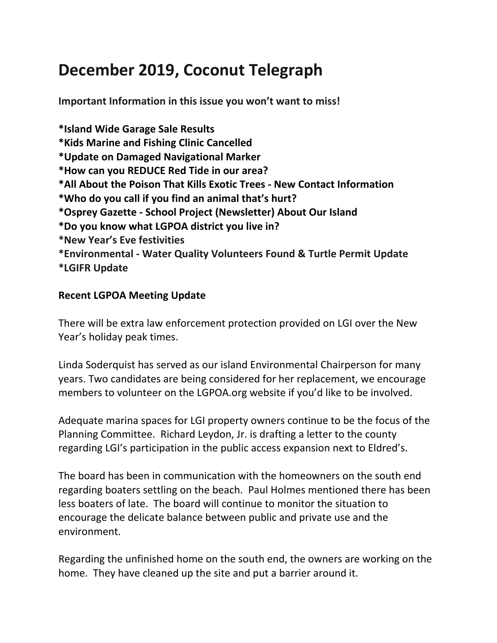# **December 2019, Coconut Telegraph**

**Important Information in this issue you won't want to miss!**

**\*Island Wide Garage Sale Results \*Kids Marine and Fishing Clinic Cancelled \*Update on Damaged Navigational Marker \*How can you REDUCE Red Tide in our area? \*All About the Poison That Kills Exotic Trees - New Contact Information \*Who do you call if you find an animal that's hurt? \*Osprey Gazette - School Project (Newsletter) About Our Island \*Do you know what LGPOA district you live in? \*New Year's Eve festivities \*Environmental - Water Quality Volunteers Found & Turtle Permit Update \*LGIFR Update**

#### **Recent LGPOA Meeting Update**

There will be extra law enforcement protection provided on LGI over the New Year's holiday peak times.

Linda Soderquist has served as our island Environmental Chairperson for many years. Two candidates are being considered for her replacement, we encourage members to volunteer on the LGPOA.org website if you'd like to be involved.

Adequate marina spaces for LGI property owners continue to be the focus of the Planning Committee. Richard Leydon, Jr. is drafting a letter to the county regarding LGI's participation in the public access expansion next to Eldred's.

The board has been in communication with the homeowners on the south end regarding boaters settling on the beach. Paul Holmes mentioned there has been less boaters of late. The board will continue to monitor the situation to encourage the delicate balance between public and private use and the environment.

Regarding the unfinished home on the south end, the owners are working on the home. They have cleaned up the site and put a barrier around it.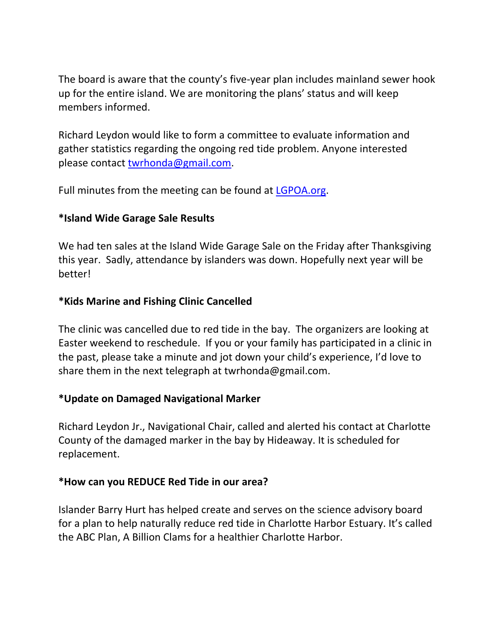The board is aware that the county's five-year plan includes mainland sewer hook up for the entire island. We are monitoring the plans' status and will keep members informed.

Richard Leydon would like to form a committee to evaluate information and gather statistics regarding the ongoing red tide problem. Anyone interested please contact [twrhonda@gmail.com.](mailto:twrhonda@gmail.com)

Full minutes from the meeting can be found at [LGPOA.org.](http://lgpoa.org/)

# **\*Island Wide Garage Sale Results**

We had ten sales at the Island Wide Garage Sale on the Friday after Thanksgiving this year. Sadly, attendance by islanders was down. Hopefully next year will be better!

## **\*Kids Marine and Fishing Clinic Cancelled**

The clinic was cancelled due to red tide in the bay. The organizers are looking at Easter weekend to reschedule. If you or your family has participated in a clinic in the past, please take a minute and jot down your child's experience, I'd love to share them in the next telegraph at twrhonda@gmail.com.

# **\*Update on Damaged Navigational Marker**

Richard Leydon Jr., Navigational Chair, called and alerted his contact at Charlotte County of the damaged marker in the bay by Hideaway. It is scheduled for replacement.

#### **\*How can you REDUCE Red Tide in our area?**

Islander Barry Hurt has helped create and serves on the science advisory board for a plan to help naturally reduce red tide in Charlotte Harbor Estuary. It's called the ABC Plan, A Billion Clams for a healthier Charlotte Harbor.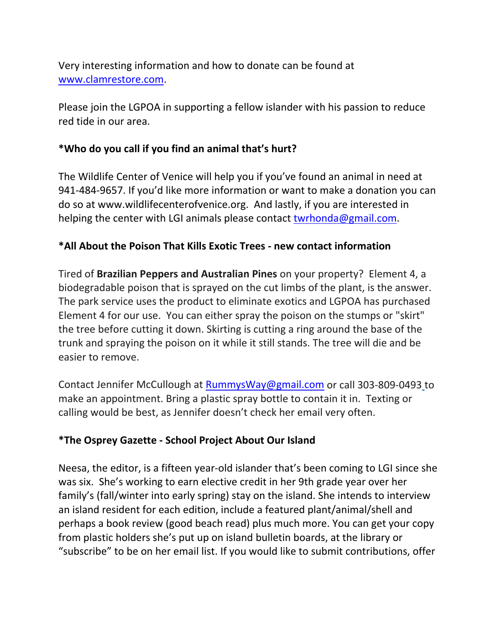Very interesting information and how to donate can be found at [www.clamrestore.com.](http://www.clamrestore.com/)

Please join the LGPOA in supporting a fellow islander with his passion to reduce red tide in our area.

# **\*Who do you call if you find an animal that's hurt?**

The Wildlife Center of Venice will help you if you've found an animal in need at 941-484-9657. If you'd like more information or want to make a donation you can do so at www.wildlifecenterofvenice.org. And lastly, if you are interested in helping the center with LGI animals please contact [twrhonda@gmail.com.](mailto:twrhonda@gmail.com)

## **\*All About the Poison That Kills Exotic Trees - new contact information**

Tired of **Brazilian Peppers and Australian Pines** on your property? Element 4, a biodegradable poison that is sprayed on the cut limbs of the plant, is the answer. The park service uses the product to eliminate exotics and LGPOA has purchased Element 4 for our use. You can either spray the poison on the stumps or "skirt" the tree before cutting it down. Skirting is cutting a ring around the base of the trunk and spraying the poison on it while it still stands. The tree will die and be easier to remove.

Contact Jennifer McCullough at [RummysWay@gmail.com](mailto:RummysWay@gmail.com) or call 303-809-0493 to make an appointment. Bring a plastic spray bottle to contain it in. Texting or calling would be best, as Jennifer doesn't check her email very often.

#### **\*The Osprey Gazette - School Project About Our Island**

Neesa, the editor, is a fifteen year-old islander that's been coming to LGI since she was six. She's working to earn elective credit in her 9th grade year over her family's (fall/winter into early spring) stay on the island. She intends to interview an island resident for each edition, include a featured plant/animal/shell and perhaps a book review (good beach read) plus much more. You can get your copy from plastic holders she's put up on island bulletin boards, at the library or "subscribe" to be on her email list. If you would like to submit contributions, offer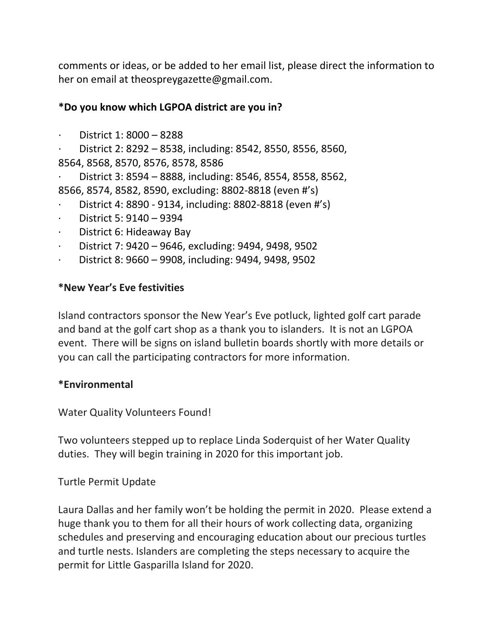comments or ideas, or be added to her email list, please direct the information to her on email at theospreygazette@gmail.com.

### **\*Do you know which LGPOA district are you in?**

· District 1: 8000 – 8288

· District 2: 8292 – 8538, including: 8542, 8550, 8556, 8560, 8564, 8568, 8570, 8576, 8578, 8586

· District 3: 8594 – 8888, including: 8546, 8554, 8558, 8562, 8566, 8574, 8582, 8590, excluding: 8802-8818 (even #'s)

- · District 4: 8890 9134, including: 8802-8818 (even #'s)
- · District 5: 9140 9394
- District 6: Hideaway Bay
- · District 7: 9420 9646, excluding: 9494, 9498, 9502
- District 8: 9660 9908, including: 9494, 9498, 9502

#### **\*New Year's Eve festivities**

Island contractors sponsor the New Year's Eve potluck, lighted golf cart parade and band at the golf cart shop as a thank you to islanders. It is not an LGPOA event. There will be signs on island bulletin boards shortly with more details or you can call the participating contractors for more information.

#### **\*Environmental**

Water Quality Volunteers Found!

Two volunteers stepped up to replace Linda Soderquist of her Water Quality duties. They will begin training in 2020 for this important job.

Turtle Permit Update

Laura Dallas and her family won't be holding the permit in 2020. Please extend a huge thank you to them for all their hours of work collecting data, organizing schedules and preserving and encouraging education about our precious turtles and turtle nests. Islanders are completing the steps necessary to acquire the permit for Little Gasparilla Island for 2020.